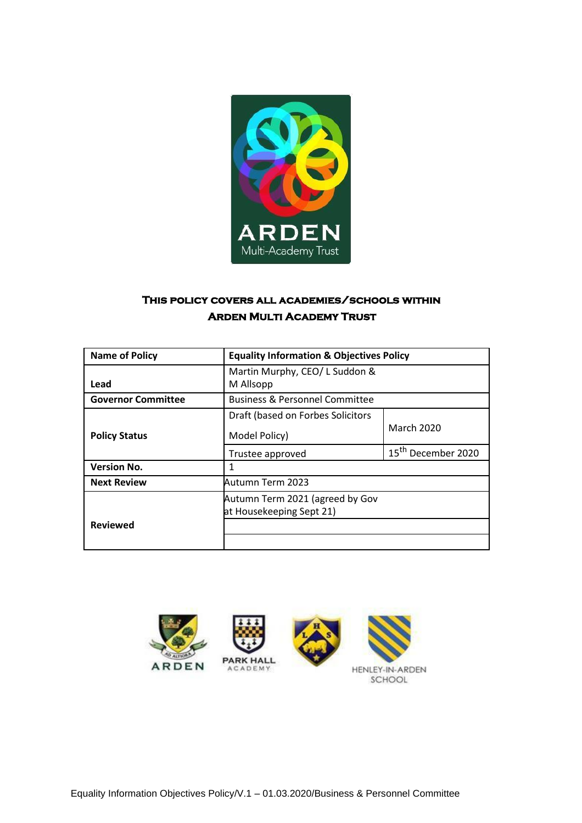

# **This policy covers all academies/schools within Arden Multi Academy Trust**

| <b>Name of Policy</b>     | <b>Equality Information &amp; Objectives Policy</b>         |                                |
|---------------------------|-------------------------------------------------------------|--------------------------------|
| Lead                      | Martin Murphy, CEO/ L Suddon &<br>M Allsopp                 |                                |
| <b>Governor Committee</b> | <b>Business &amp; Personnel Committee</b>                   |                                |
| <b>Policy Status</b>      | Draft (based on Forbes Solicitors                           | March 2020                     |
|                           | Model Policy)                                               |                                |
|                           | Trustee approved                                            | 15 <sup>th</sup> December 2020 |
| <b>Version No.</b>        | 1                                                           |                                |
| <b>Next Review</b>        | Autumn Term 2023                                            |                                |
|                           | Autumn Term 2021 (agreed by Gov<br>at Housekeeping Sept 21) |                                |
| <b>Reviewed</b>           |                                                             |                                |
|                           |                                                             |                                |

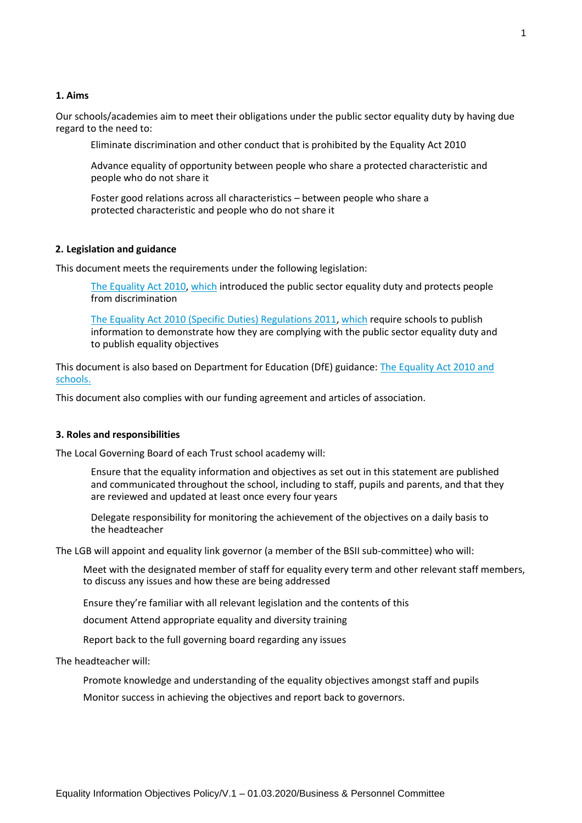#### **1. Aims**

Our schools/academies aim to meet their obligations under the public sector equality duty by having due regard to the need to:

Eliminate discrimination and other conduct that is prohibited by the Equality Act 2010

Advance equality of opportunity between people who share a protected characteristic and people who do not share it

Foster good relations across all characteristics – between people who share a protected characteristic and people who do not share it

#### **2. Legislation and guidance**

This document meets the requirements under the following legislation:

[The Equality Act 2010, w](http://www.legislation.gov.uk/ukpga/2010/15/contents)hich introduced the public sector equality duty and protects people from discrimination

[The Equality Act 2010 \(Specific Duties\) Regulations 2011, w](http://www.legislation.gov.uk/uksi/2011/2260/contents/made)hich require schools to publish information to demonstrate how they are complying with the public sector equality duty and to publish equality objectives

This document is also based on Department for Education (DfE) guidance: The Equality [Act 2010 and](https://www.gov.uk/government/uploads/system/uploads/attachment_data/file/315587/Equality_Act_Advice_Final.pdf) [schools.](https://www.gov.uk/government/uploads/system/uploads/attachment_data/file/315587/Equality_Act_Advice_Final.pdf)

This document also complies with our funding agreement and articles of association.

#### **3. Roles and responsibilities**

The Local Governing Board of each Trust school academy will:

Ensure that the equality information and objectives as set out in this statement are published and communicated throughout the school, including to staff, pupils and parents, and that they are reviewed and updated at least once every four years

Delegate responsibility for monitoring the achievement of the objectives on a daily basis to the headteacher

The LGB will appoint and equality link governor (a member of the BSII sub-committee) who will:

Meet with the designated member of staff for equality every term and other relevant staff members, to discuss any issues and how these are being addressed

Ensure they're familiar with all relevant legislation and the contents of this

document Attend appropriate equality and diversity training

Report back to the full governing board regarding any issues

The headteacher will:

Promote knowledge and understanding of the equality objectives amongst staff and pupils

Monitor success in achieving the objectives and report back to governors.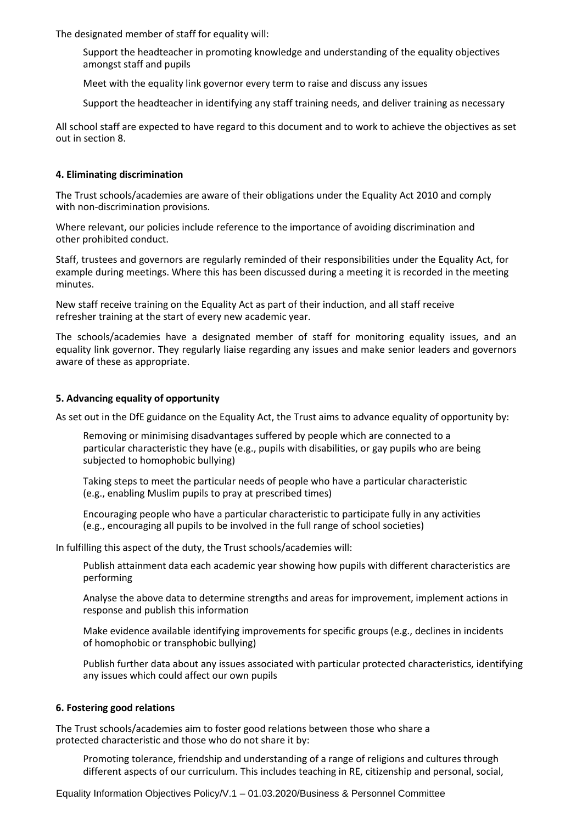The designated member of staff for equality will:

- Support the headteacher in promoting knowledge and understanding of the equality objectives amongst staff and pupils
- Meet with the equality link governor every term to raise and discuss any issues
- Support the headteacher in identifying any staff training needs, and deliver training as necessary

All school staff are expected to have regard to this document and to work to achieve the objectives as set out in section 8.

## **4. Eliminating discrimination**

The Trust schools/academies are aware of their obligations under the Equality Act 2010 and comply with non-discrimination provisions.

Where relevant, our policies include reference to the importance of avoiding discrimination and other prohibited conduct.

Staff, trustees and governors are regularly reminded of their responsibilities under the Equality Act, for example during meetings. Where this has been discussed during a meeting it is recorded in the meeting minutes.

New staff receive training on the Equality Act as part of their induction, and all staff receive refresher training at the start of every new academic year.

The schools/academies have a designated member of staff for monitoring equality issues, and an equality link governor. They regularly liaise regarding any issues and make senior leaders and governors aware of these as appropriate.

### **5. Advancing equality of opportunity**

As set out in the DfE guidance on the Equality Act, the Trust aims to advance equality of opportunity by:

Removing or minimising disadvantages suffered by people which are connected to a particular characteristic they have (e.g., pupils with disabilities, or gay pupils who are being subjected to homophobic bullying)

Taking steps to meet the particular needs of people who have a particular characteristic (e.g., enabling Muslim pupils to pray at prescribed times)

Encouraging people who have a particular characteristic to participate fully in any activities (e.g., encouraging all pupils to be involved in the full range of school societies)

In fulfilling this aspect of the duty, the Trust schools/academies will:

Publish attainment data each academic year showing how pupils with different characteristics are performing

Analyse the above data to determine strengths and areas for improvement, implement actions in response and publish this information

Make evidence available identifying improvements for specific groups (e.g., declines in incidents of homophobic or transphobic bullying)

Publish further data about any issues associated with particular protected characteristics, identifying any issues which could affect our own pupils

#### **6. Fostering good relations**

The Trust schools/academies aim to foster good relations between those who share a protected characteristic and those who do not share it by:

Promoting tolerance, friendship and understanding of a range of religions and cultures through different aspects of our curriculum. This includes teaching in RE, citizenship and personal, social,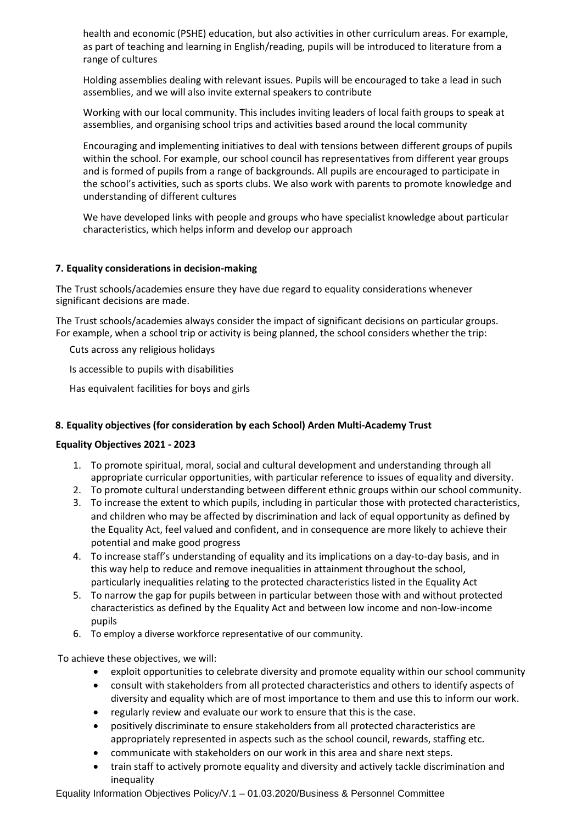health and economic (PSHE) education, but also activities in other curriculum areas. For example, as part of teaching and learning in English/reading, pupils will be introduced to literature from a range of cultures

Holding assemblies dealing with relevant issues. Pupils will be encouraged to take a lead in such assemblies, and we will also invite external speakers to contribute

Working with our local community. This includes inviting leaders of local faith groups to speak at assemblies, and organising school trips and activities based around the local community

Encouraging and implementing initiatives to deal with tensions between different groups of pupils within the school. For example, our school council has representatives from different year groups and is formed of pupils from a range of backgrounds. All pupils are encouraged to participate in the school's activities, such as sports clubs. We also work with parents to promote knowledge and understanding of different cultures

We have developed links with people and groups who have specialist knowledge about particular characteristics, which helps inform and develop our approach

# **7. Equality considerations in decision-making**

The Trust schools/academies ensure they have due regard to equality considerations whenever significant decisions are made.

The Trust schools/academies always consider the impact of significant decisions on particular groups. For example, when a school trip or activity is being planned, the school considers whether the trip:

Cuts across any religious holidays

Is accessible to pupils with disabilities

Has equivalent facilities for boys and girls

# **8. Equality objectives (for consideration by each School) Arden Multi-Academy Trust**

# **Equality Objectives 2021 - 2023**

- 1. To promote spiritual, moral, social and cultural development and understanding through all appropriate curricular opportunities, with particular reference to issues of equality and diversity.
- 2. To promote cultural understanding between different ethnic groups within our school community.
- 3. To increase the extent to which pupils, including in particular those with protected characteristics, and children who may be affected by discrimination and lack of equal opportunity as defined by the Equality Act, feel valued and confident, and in consequence are more likely to achieve their potential and make good progress
- 4. To increase staff's understanding of equality and its implications on a day-to-day basis, and in this way help to reduce and remove inequalities in attainment throughout the school, particularly inequalities relating to the protected characteristics listed in the Equality Act
- 5. To narrow the gap for pupils between in particular between those with and without protected characteristics as defined by the Equality Act and between low income and non-low-income pupils
- 6. To employ a diverse workforce representative of our community.

To achieve these objectives, we will:

- exploit opportunities to celebrate diversity and promote equality within our school community
- consult with stakeholders from all protected characteristics and others to identify aspects of diversity and equality which are of most importance to them and use this to inform our work.
- regularly review and evaluate our work to ensure that this is the case.
- positively discriminate to ensure stakeholders from all protected characteristics are appropriately represented in aspects such as the school council, rewards, staffing etc.
- communicate with stakeholders on our work in this area and share next steps.
- train staff to actively promote equality and diversity and actively tackle discrimination and inequality

Equality Information Objectives Policy/V.1 – 01.03.2020/Business & Personnel Committee